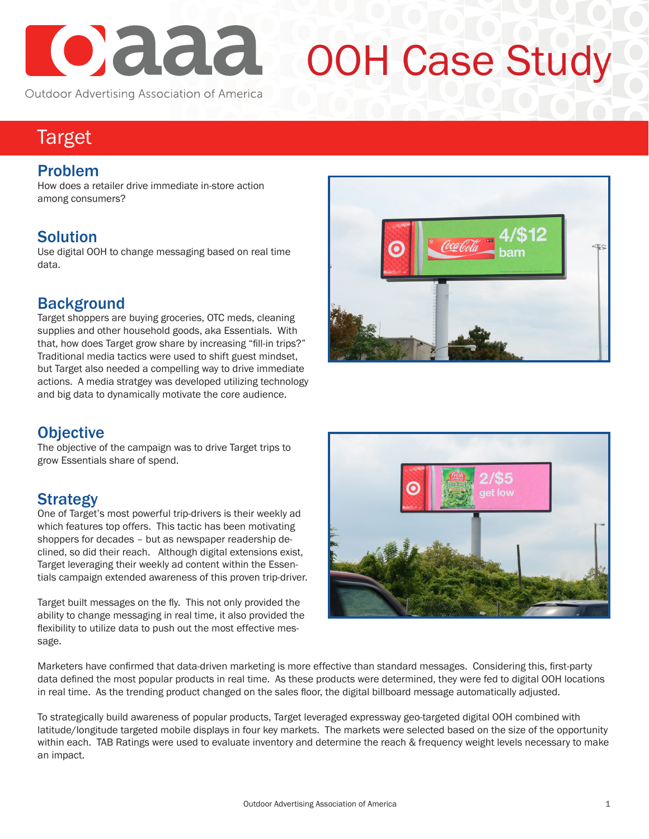

# OOH Case Study

# Target

#### Problem

How does a retailer drive immediate in-store action among consumers?

# **Solution**

Use digital OOH to change messaging based on real time data.

#### **Background**

Target shoppers are buying groceries, OTC meds, cleaning supplies and other household goods, aka Essentials. With that, how does Target grow share by increasing "fill-in trips?" Traditional media tactics were used to shift guest mindset, but Target also needed a compelling way to drive immediate actions. A media stratgey was developed utilizing technology and big data to dynamically motivate the core audience.

# **Objective**

The objective of the campaign was to drive Target trips to grow Essentials share of spend.

# **Strategy**

One of Target's most powerful trip-drivers is their weekly ad which features top offers. This tactic has been motivating shoppers for decades – but as newspaper readership declined, so did their reach. Although digital extensions exist, Target leveraging their weekly ad content within the Essentials campaign extended awareness of this proven trip-driver.

Target built messages on the fly. This not only provided the ability to change messaging in real time, it also provided the flexibility to utilize data to push out the most effective message.





Marketers have confirmed that data-driven marketing is more effective than standard messages. Considering this, first-party data defined the most popular products in real time. As these products were determined, they were fed to digital OOH locations in real time. As the trending product changed on the sales floor, the digital billboard message automatically adjusted.

To strategically build awareness of popular products, Target leveraged expressway geo-targeted digital OOH combined with latitude/longitude targeted mobile displays in four key markets. The markets were selected based on the size of the opportunity within each. TAB Ratings were used to evaluate inventory and determine the reach & frequency weight levels necessary to make an impact.